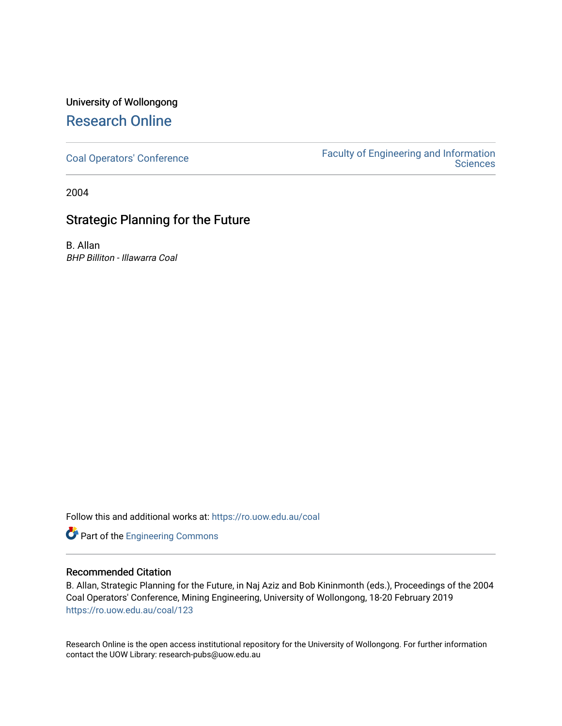### University of Wollongong [Research Online](https://ro.uow.edu.au/)

[Coal Operators' Conference](https://ro.uow.edu.au/coal) [Faculty of Engineering and Information](https://ro.uow.edu.au/eis)  **Sciences** 

2004

### Strategic Planning for the Future

B. Allan BHP Billiton - Illawarra Coal

Follow this and additional works at: [https://ro.uow.edu.au/coal](https://ro.uow.edu.au/coal?utm_source=ro.uow.edu.au%2Fcoal%2F123&utm_medium=PDF&utm_campaign=PDFCoverPages) 

Part of the [Engineering Commons](http://network.bepress.com/hgg/discipline/217?utm_source=ro.uow.edu.au%2Fcoal%2F123&utm_medium=PDF&utm_campaign=PDFCoverPages)

#### Recommended Citation

B. Allan, Strategic Planning for the Future, in Naj Aziz and Bob Kininmonth (eds.), Proceedings of the 2004 Coal Operators' Conference, Mining Engineering, University of Wollongong, 18-20 February 2019 [https://ro.uow.edu.au/coal/123](https://ro.uow.edu.au/coal/123?utm_source=ro.uow.edu.au%2Fcoal%2F123&utm_medium=PDF&utm_campaign=PDFCoverPages) 

Research Online is the open access institutional repository for the University of Wollongong. For further information contact the UOW Library: research-pubs@uow.edu.au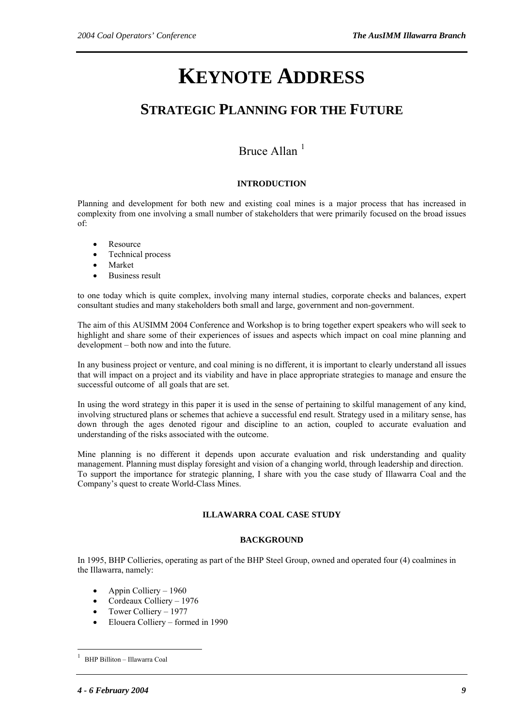# **KEYNOTE ADDRESS**

## **STRATEGIC PLANNING FOR THE FUTURE**

### Bruce Allan<sup>[1](#page-1-0)</sup>

### **INTRODUCTION**

Planning and development for both new and existing coal mines is a major process that has increased in complexity from one involving a small number of stakeholders that were primarily focused on the broad issues of:

- Resource
- Technical process
- Market
- Business result

to one today which is quite complex, involving many internal studies, corporate checks and balances, expert consultant studies and many stakeholders both small and large, government and non-government.

The aim of this AUSIMM 2004 Conference and Workshop is to bring together expert speakers who will seek to highlight and share some of their experiences of issues and aspects which impact on coal mine planning and development – both now and into the future.

In any business project or venture, and coal mining is no different, it is important to clearly understand all issues that will impact on a project and its viability and have in place appropriate strategies to manage and ensure the successful outcome of all goals that are set.

In using the word strategy in this paper it is used in the sense of pertaining to skilful management of any kind, involving structured plans or schemes that achieve a successful end result. Strategy used in a military sense, has down through the ages denoted rigour and discipline to an action, coupled to accurate evaluation and understanding of the risks associated with the outcome.

Mine planning is no different it depends upon accurate evaluation and risk understanding and quality management. Planning must display foresight and vision of a changing world, through leadership and direction. To support the importance for strategic planning, I share with you the case study of Illawarra Coal and the Company's quest to create World-Class Mines.

#### **ILLAWARRA COAL CASE STUDY**

#### **BACKGROUND**

In 1995, BHP Collieries, operating as part of the BHP Steel Group, owned and operated four (4) coalmines in the Illawarra, namely:

- Appin Colliery 1960
- Cordeaux Colliery 1976
- Tower Colliery 1977
- Elouera Colliery formed in 1990

 $\overline{a}$ 

<span id="page-1-0"></span><sup>1</sup> BHP Billiton – Illawarra Coal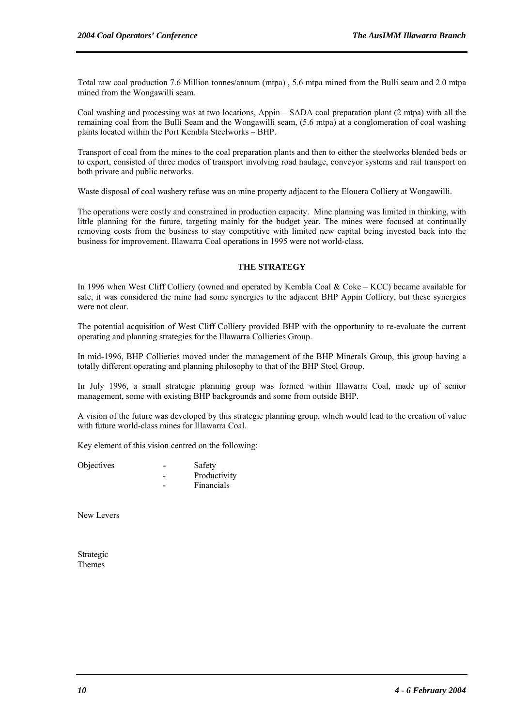Total raw coal production 7.6 Million tonnes/annum (mtpa) , 5.6 mtpa mined from the Bulli seam and 2.0 mtpa mined from the Wongawilli seam.

Coal washing and processing was at two locations, Appin – SADA coal preparation plant (2 mtpa) with all the remaining coal from the Bulli Seam and the Wongawilli seam, (5.6 mtpa) at a conglomeration of coal washing plants located within the Port Kembla Steelworks – BHP.

Transport of coal from the mines to the coal preparation plants and then to either the steelworks blended beds or to export, consisted of three modes of transport involving road haulage, conveyor systems and rail transport on both private and public networks.

Waste disposal of coal washery refuse was on mine property adjacent to the Elouera Colliery at Wongawilli.

The operations were costly and constrained in production capacity. Mine planning was limited in thinking, with little planning for the future, targeting mainly for the budget year. The mines were focused at continually removing costs from the business to stay competitive with limited new capital being invested back into the business for improvement. Illawarra Coal operations in 1995 were not world-class.

#### **THE STRATEGY**

In 1996 when West Cliff Colliery (owned and operated by Kembla Coal & Coke – KCC) became available for sale, it was considered the mine had some synergies to the adjacent BHP Appin Colliery, but these synergies were not clear.

The potential acquisition of West Cliff Colliery provided BHP with the opportunity to re-evaluate the current operating and planning strategies for the Illawarra Collieries Group.

In mid-1996, BHP Collieries moved under the management of the BHP Minerals Group, this group having a totally different operating and planning philosophy to that of the BHP Steel Group.

In July 1996, a small strategic planning group was formed within Illawarra Coal, made up of senior management, some with existing BHP backgrounds and some from outside BHP.

A vision of the future was developed by this strategic planning group, which would lead to the creation of value with future world-class mines for Illawarra Coal.

Key element of this vision centred on the following:

| Objectives | Safety       |
|------------|--------------|
|            | Productivity |
|            | Financials   |

New Levers

Strategic Themes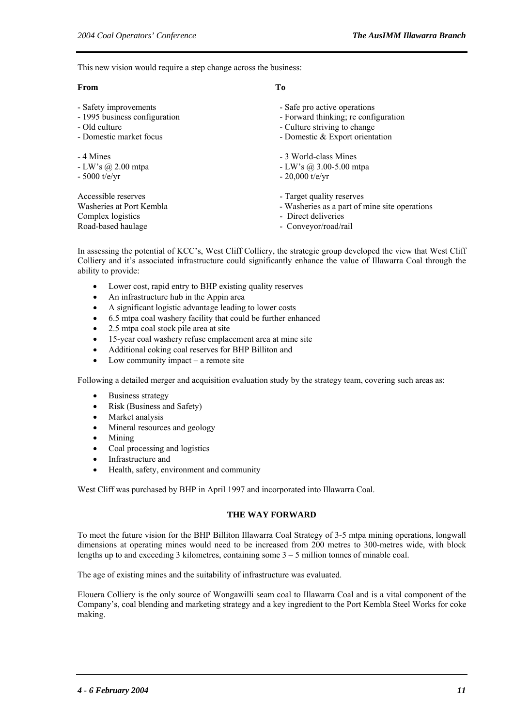This new vision would require a step change across the business:

#### **From To**

- 
- 
- 
- 
- 
- 
- 

Complex logistics - Direct deliveries Road-based haulage - Conveyor/road/rail

- Safety improvements Safe pro active operations
- 1995 business configuration Forward thinking; re configuration Old culture Culture striving to change
- Old culture Culture Culture striving to change<br>- Domestic market focus Culture striving to change Domestic & Export oriental
	- Domestic  $&$  Export orientation
- 4 Mines 3 World-class Mines
- LW's @ 2.00 mtpa LW's @ 3.00-5.00 mtpa
- $-5000$  t/e/yr  $-20,000$  t/e/yr
- Accessible reserves Target quality reserves
- Washeries at Port Kembla Washeries as a part of mine site operations
	-
	-

In assessing the potential of KCC's, West Cliff Colliery, the strategic group developed the view that West Cliff Colliery and it's associated infrastructure could significantly enhance the value of Illawarra Coal through the ability to provide:

- Lower cost, rapid entry to BHP existing quality reserves
- An infrastructure hub in the Appin area
- A significant logistic advantage leading to lower costs
- 6.5 mtpa coal washery facility that could be further enhanced
- 2.5 mtpa coal stock pile area at site
- 15-year coal washery refuse emplacement area at mine site
- Additional coking coal reserves for BHP Billiton and
- Low community impact  $-$  a remote site

Following a detailed merger and acquisition evaluation study by the strategy team, covering such areas as:

- Business strategy
- Risk (Business and Safety)
- Market analysis
- Mineral resources and geology
- Mining
- Coal processing and logistics
- Infrastructure and
- Health, safety, environment and community

West Cliff was purchased by BHP in April 1997 and incorporated into Illawarra Coal.

#### **THE WAY FORWARD**

To meet the future vision for the BHP Billiton Illawarra Coal Strategy of 3-5 mtpa mining operations, longwall dimensions at operating mines would need to be increased from 200 metres to 300-metres wide, with block lengths up to and exceeding 3 kilometres, containing some  $3 - 5$  million tonnes of minable coal.

The age of existing mines and the suitability of infrastructure was evaluated.

Elouera Colliery is the only source of Wongawilli seam coal to Illawarra Coal and is a vital component of the Company's, coal blending and marketing strategy and a key ingredient to the Port Kembla Steel Works for coke making.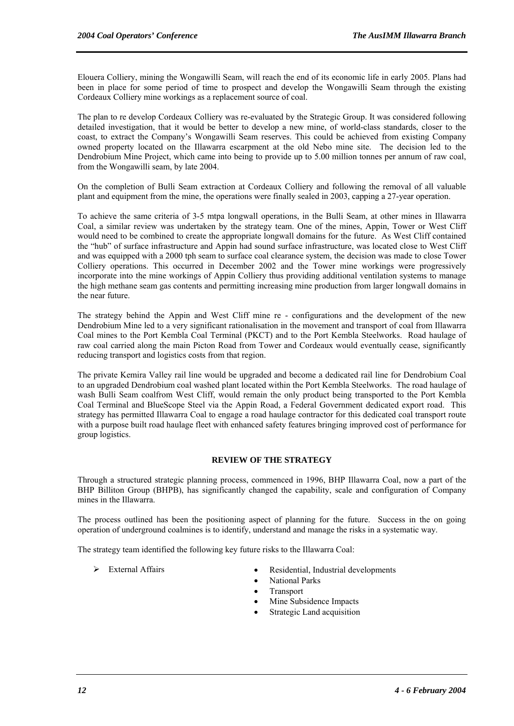Elouera Colliery, mining the Wongawilli Seam, will reach the end of its economic life in early 2005. Plans had been in place for some period of time to prospect and develop the Wongawilli Seam through the existing Cordeaux Colliery mine workings as a replacement source of coal.

The plan to re develop Cordeaux Colliery was re-evaluated by the Strategic Group. It was considered following detailed investigation, that it would be better to develop a new mine, of world-class standards, closer to the coast, to extract the Company's Wongawilli Seam reserves. This could be achieved from existing Company owned property located on the Illawarra escarpment at the old Nebo mine site. The decision led to the Dendrobium Mine Project, which came into being to provide up to 5.00 million tonnes per annum of raw coal, from the Wongawilli seam, by late 2004.

On the completion of Bulli Seam extraction at Cordeaux Colliery and following the removal of all valuable plant and equipment from the mine, the operations were finally sealed in 2003, capping a 27-year operation.

To achieve the same criteria of 3-5 mtpa longwall operations, in the Bulli Seam, at other mines in Illawarra Coal, a similar review was undertaken by the strategy team. One of the mines, Appin, Tower or West Cliff would need to be combined to create the appropriate longwall domains for the future. As West Cliff contained the "hub" of surface infrastructure and Appin had sound surface infrastructure, was located close to West Cliff and was equipped with a 2000 tph seam to surface coal clearance system, the decision was made to close Tower Colliery operations. This occurred in December 2002 and the Tower mine workings were progressively incorporate into the mine workings of Appin Colliery thus providing additional ventilation systems to manage the high methane seam gas contents and permitting increasing mine production from larger longwall domains in the near future.

The strategy behind the Appin and West Cliff mine re - configurations and the development of the new Dendrobium Mine led to a very significant rationalisation in the movement and transport of coal from Illawarra Coal mines to the Port Kembla Coal Terminal (PKCT) and to the Port Kembla Steelworks. Road haulage of raw coal carried along the main Picton Road from Tower and Cordeaux would eventually cease, significantly reducing transport and logistics costs from that region.

The private Kemira Valley rail line would be upgraded and become a dedicated rail line for Dendrobium Coal to an upgraded Dendrobium coal washed plant located within the Port Kembla Steelworks. The road haulage of wash Bulli Seam coalfrom West Cliff, would remain the only product being transported to the Port Kembla Coal Terminal and BlueScope Steel via the Appin Road, a Federal Government dedicated export road. This strategy has permitted Illawarra Coal to engage a road haulage contractor for this dedicated coal transport route with a purpose built road haulage fleet with enhanced safety features bringing improved cost of performance for group logistics.

#### **REVIEW OF THE STRATEGY**

Through a structured strategic planning process, commenced in 1996, BHP Illawarra Coal, now a part of the BHP Billiton Group (BHPB), has significantly changed the capability, scale and configuration of Company mines in the Illawarra.

The process outlined has been the positioning aspect of planning for the future. Success in the on going operation of underground coalmines is to identify, understand and manage the risks in a systematic way.

The strategy team identified the following key future risks to the Illawarra Coal:

- 
- ¾ External Affairs Residential, Industrial developments
	- National Parks
	- **Transport**
	- Mine Subsidence Impacts
	- Strategic Land acquisition